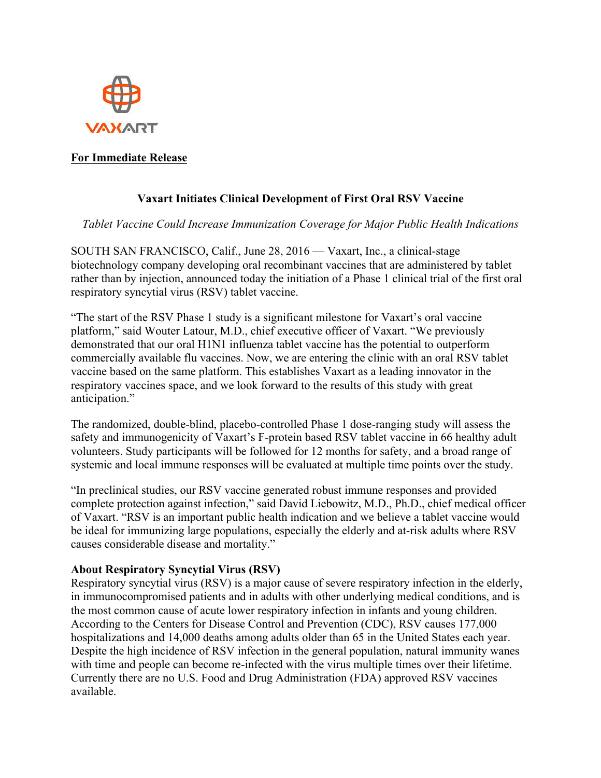

## **For Immediate Release**

# **Vaxart Initiates Clinical Development of First Oral RSV Vaccine**

### *Tablet Vaccine Could Increase Immunization Coverage for Major Public Health Indications*

SOUTH SAN FRANCISCO, Calif., June 28, 2016 — Vaxart, Inc., a clinical-stage biotechnology company developing oral recombinant vaccines that are administered by tablet rather than by injection, announced today the initiation of a Phase 1 clinical trial of the first oral respiratory syncytial virus (RSV) tablet vaccine.

"The start of the RSV Phase 1 study is a significant milestone for Vaxart's oral vaccine platform," said Wouter Latour, M.D., chief executive officer of Vaxart. "We previously demonstrated that our oral H1N1 influenza tablet vaccine has the potential to outperform commercially available flu vaccines. Now, we are entering the clinic with an oral RSV tablet vaccine based on the same platform. This establishes Vaxart as a leading innovator in the respiratory vaccines space, and we look forward to the results of this study with great anticipation."

The randomized, double-blind, placebo-controlled Phase 1 dose-ranging study will assess the safety and immunogenicity of Vaxart's F-protein based RSV tablet vaccine in 66 healthy adult volunteers. Study participants will be followed for 12 months for safety, and a broad range of systemic and local immune responses will be evaluated at multiple time points over the study.

"In preclinical studies, our RSV vaccine generated robust immune responses and provided complete protection against infection," said David Liebowitz, M.D., Ph.D., chief medical officer of Vaxart. "RSV is an important public health indication and we believe a tablet vaccine would be ideal for immunizing large populations, especially the elderly and at-risk adults where RSV causes considerable disease and mortality."

### **About Respiratory Syncytial Virus (RSV)**

Respiratory syncytial virus (RSV) is a major cause of severe respiratory infection in the elderly, in immunocompromised patients and in adults with other underlying medical conditions, and is the most common cause of acute lower respiratory infection in infants and young children. According to the Centers for Disease Control and Prevention (CDC), RSV causes 177,000 hospitalizations and 14,000 deaths among adults older than 65 in the United States each year. Despite the high incidence of RSV infection in the general population, natural immunity wanes with time and people can become re-infected with the virus multiple times over their lifetime. Currently there are no U.S. Food and Drug Administration (FDA) approved RSV vaccines available.